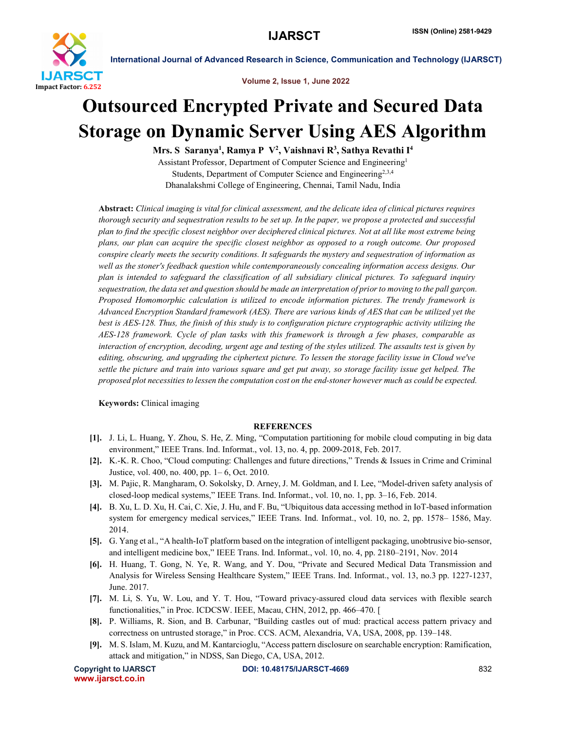

International Journal of Advanced Research in Science, Communication and Technology (IJARSCT)

Volume 2, Issue 1, June 2022

## Outsourced Encrypted Private and Secured Data Storage on Dynamic Server Using AES Algorithm

Mrs. S Saranya<sup>1</sup>, Ramya P V<sup>2</sup>, Vaishnavi R<sup>3</sup>, Sathya Revathi I<sup>4</sup>

Assistant Professor, Department of Computer Science and Engineering1 Students, Department of Computer Science and Engineering<sup>2,3,4</sup> Dhanalakshmi College of Engineering, Chennai, Tamil Nadu, India

Abstract: *Clinical imaging is vital for clinical assessment, and the delicate idea of clinical pictures requires thorough security and sequestration results to be set up. In the paper, we propose a protected and successful plan to find the specific closest neighbor over deciphered clinical pictures. Not at all like most extreme being plans, our plan can acquire the specific closest neighbor as opposed to a rough outcome. Our proposed conspire clearly meets the security conditions. It safeguards the mystery and sequestration of information as well as the stoner's feedback question while contemporaneously concealing information access designs. Our plan is intended to safeguard the classification of all subsidiary clinical pictures. To safeguard inquiry sequestration, the data set and question should be made an interpretation of prior to moving to the pall garçon. Proposed Homomorphic calculation is utilized to encode information pictures. The trendy framework is Advanced Encryption Standard framework (AES). There are various kinds of AES that can be utilized yet the best is AES-128. Thus, the finish of this study is to configuration picture cryptographic activity utilizing the AES-128 framework. Cycle of plan tasks with this framework is through a few phases, comparable as interaction of encryption, decoding, urgent age and testing of the styles utilized. The assaults test is given by editing, obscuring, and upgrading the ciphertext picture. To lessen the storage facility issue in Cloud we've settle the picture and train into various square and get put away, so storage facility issue get helped. The proposed plot necessities to lessen the computation cost on the end-stoner however much as could be expected.*

Keywords: Clinical imaging

## **REFERENCES**

- [1]. J. Li, L. Huang, Y. Zhou, S. He, Z. Ming, "Computation partitioning for mobile cloud computing in big data environment," IEEE Trans. Ind. Informat., vol. 13, no. 4, pp. 2009-2018, Feb. 2017.
- [2]. K.-K. R. Choo, "Cloud computing: Challenges and future directions," Trends & Issues in Crime and Criminal Justice, vol. 400, no. 400, pp. 1– 6, Oct. 2010.
- [3]. M. Pajic, R. Mangharam, O. Sokolsky, D. Arney, J. M. Goldman, and I. Lee, "Model-driven safety analysis of closed-loop medical systems," IEEE Trans. Ind. Informat., vol. 10, no. 1, pp. 3–16, Feb. 2014.
- [4]. B. Xu, L. D. Xu, H. Cai, C. Xie, J. Hu, and F. Bu, "Ubiquitous data accessing method in IoT-based information system for emergency medical services," IEEE Trans. Ind. Informat., vol. 10, no. 2, pp. 1578– 1586, May. 2014.
- [5]. G. Yang et al., "A health-IoT platform based on the integration of intelligent packaging, unobtrusive bio-sensor, and intelligent medicine box," IEEE Trans. Ind. Informat., vol. 10, no. 4, pp. 2180–2191, Nov. 2014
- [6]. H. Huang, T. Gong, N. Ye, R. Wang, and Y. Dou, "Private and Secured Medical Data Transmission and Analysis for Wireless Sensing Healthcare System," IEEE Trans. Ind. Informat., vol. 13, no.3 pp. 1227-1237, June. 2017.
- [7]. M. Li, S. Yu, W. Lou, and Y. T. Hou, "Toward privacy-assured cloud data services with flexible search functionalities," in Proc. ICDCSW. IEEE, Macau, CHN, 2012, pp. 466–470. [
- [8]. P. Williams, R. Sion, and B. Carbunar, "Building castles out of mud: practical access pattern privacy and correctness on untrusted storage," in Proc. CCS. ACM, Alexandria, VA, USA, 2008, pp. 139–148.
- [9]. M. S. Islam, M. Kuzu, and M. Kantarcioglu, "Access pattern disclosure on searchable encryption: Ramification, attack and mitigation," in NDSS, San Diego, CA, USA, 2012.

www.ijarsct.co.in